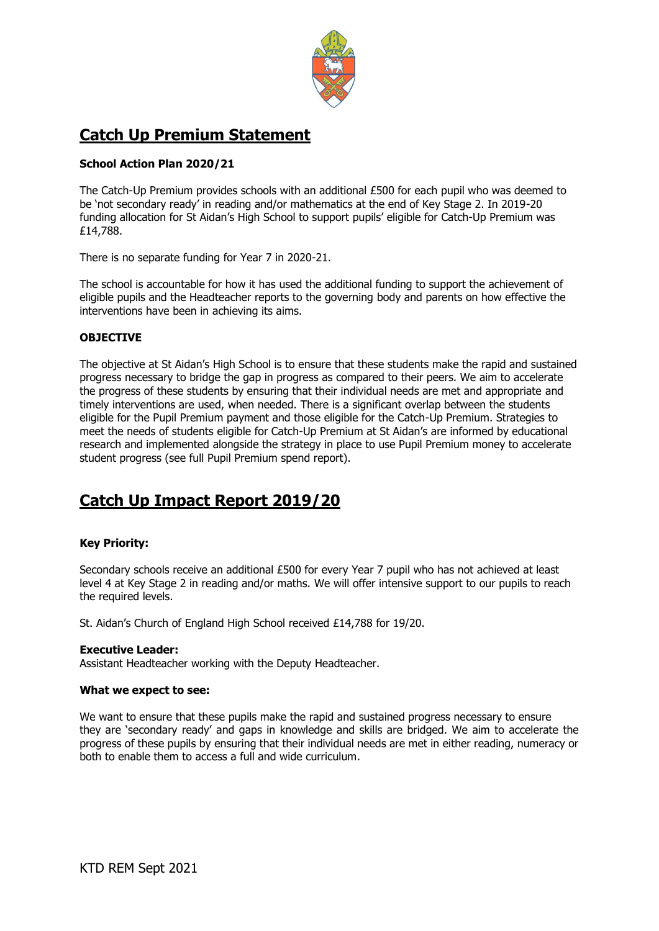

## **Catch Up Premium Statement**

## **School Action Plan 2020/21**

The Catch-Up Premium provides schools with an additional £500 for each pupil who was deemed to be 'not secondary ready' in reading and/or mathematics at the end of Key Stage 2. In 2019-20 funding allocation for St Aidan's High School to support pupils' eligible for Catch-Up Premium was £14,788.

There is no separate funding for Year 7 in 2020-21.

The school is accountable for how it has used the additional funding to support the achievement of eligible pupils and the Headteacher reports to the governing body and parents on how effective the interventions have been in achieving its aims.

## **OBJECTIVE**

The objective at St Aidan's High School is to ensure that these students make the rapid and sustained progress necessary to bridge the gap in progress as compared to their peers. We aim to accelerate the progress of these students by ensuring that their individual needs are met and appropriate and timely interventions are used, when needed. There is a significant overlap between the students eligible for the Pupil Premium payment and those eligible for the Catch-Up Premium. Strategies to meet the needs of students eligible for Catch-Up Premium at St Aidan's are informed by educational research and implemented alongside the strategy in place to use Pupil Premium money to accelerate student progress (see full Pupil Premium spend report).

# **Catch Up Impact Report 2019/20**

## **Key Priority:**

Secondary schools receive an additional £500 for every Year 7 pupil who has not achieved at least level 4 at Key Stage 2 in reading and/or maths. We will offer intensive support to our pupils to reach the required levels.

St. Aidan's Church of England High School received £14,788 for 19/20.

#### **Executive Leader:**

Assistant Headteacher working with the Deputy Headteacher.

#### **What we expect to see:**

We want to ensure that these pupils make the rapid and sustained progress necessary to ensure they are 'secondary ready' and gaps in knowledge and skills are bridged. We aim to accelerate the progress of these pupils by ensuring that their individual needs are met in either reading, numeracy or both to enable them to access a full and wide curriculum.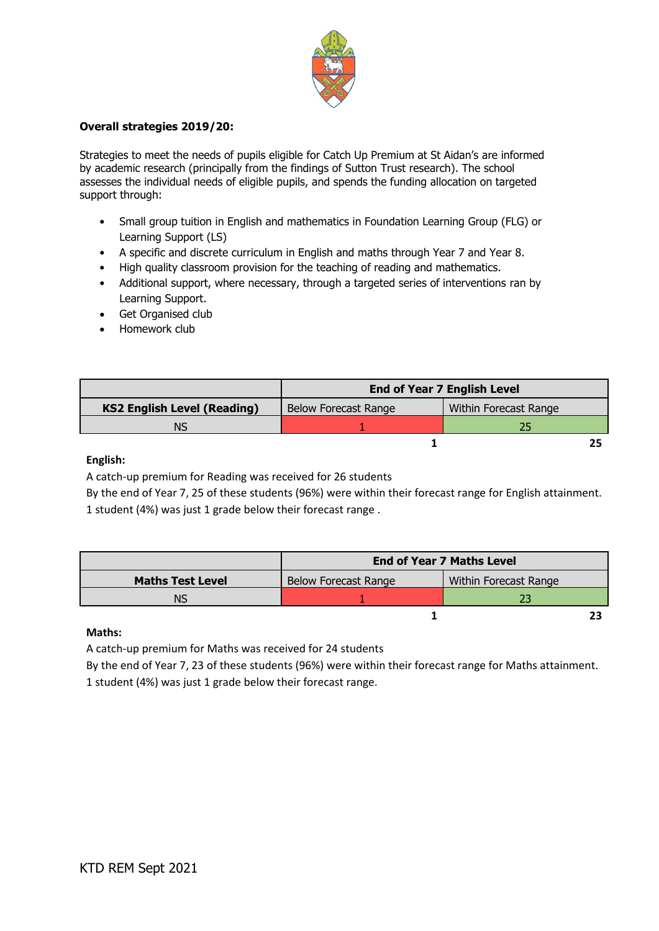

### **Overall strategies 2019/20:**

Strategies to meet the needs of pupils eligible for Catch Up Premium at St Aidan's are informed by academic research (principally from the findings of Sutton Trust research). The school assesses the individual needs of eligible pupils, and spends the funding allocation on targeted support through:

- Small group tuition in English and mathematics in Foundation Learning Group (FLG) or Learning Support (LS)
- A specific and discrete curriculum in English and maths through Year 7 and Year 8.
- High quality classroom provision for the teaching of reading and mathematics.
- Additional support, where necessary, through a targeted series of interventions ran by Learning Support.
- Get Organised club
- Homework club

|                                    | <b>End of Year 7 English Level</b> |                       |
|------------------------------------|------------------------------------|-----------------------|
| <b>KS2 English Level (Reading)</b> | Below Forecast Range               | Within Forecast Range |
| NS                                 |                                    |                       |
|                                    |                                    |                       |

#### **English:**

A catch-up premium for Reading was received for 26 students

By the end of Year 7, 25 of these students (96%) were within their forecast range for English attainment. 1 student (4%) was just 1 grade below their forecast range .

|                         | <b>End of Year 7 Maths Level</b> |                       |
|-------------------------|----------------------------------|-----------------------|
| <b>Maths Test Level</b> | <b>Below Forecast Range</b>      | Within Forecast Range |
| NS                      |                                  |                       |
|                         |                                  |                       |

#### **Maths:**

A catch-up premium for Maths was received for 24 students

By the end of Year 7, 23 of these students (96%) were within their forecast range for Maths attainment. 1 student (4%) was just 1 grade below their forecast range.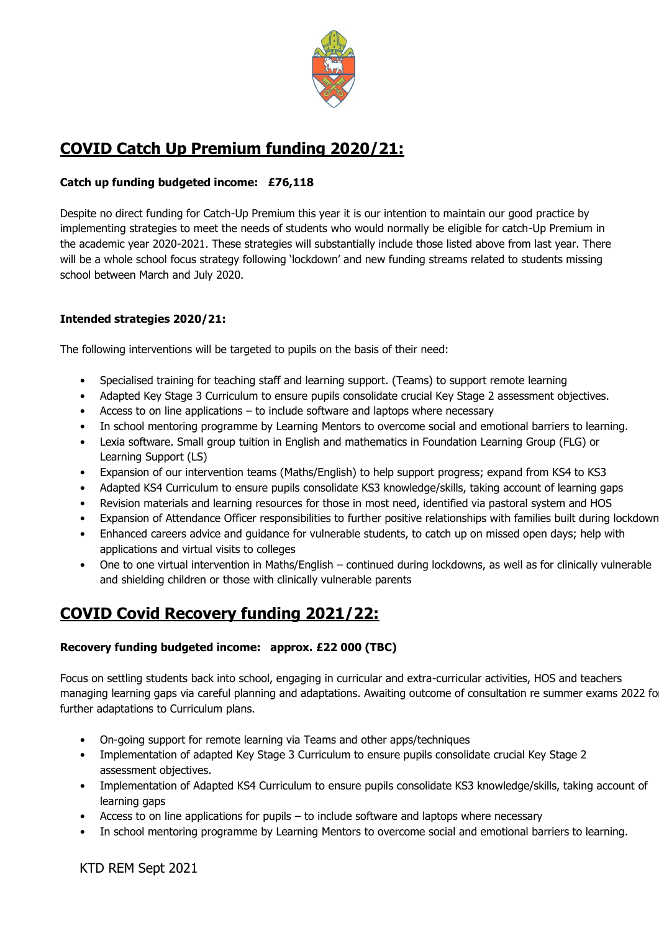

## **COVID Catch Up Premium funding 2020/21:**

## **Catch up funding budgeted income: £76,118**

Despite no direct funding for Catch-Up Premium this year it is our intention to maintain our good practice by implementing strategies to meet the needs of students who would normally be eligible for catch-Up Premium in the academic year 2020-2021. These strategies will substantially include those listed above from last year. There will be a whole school focus strategy following 'lockdown' and new funding streams related to students missing school between March and July 2020.

## **Intended strategies 2020/21:**

The following interventions will be targeted to pupils on the basis of their need:

- Specialised training for teaching staff and learning support. (Teams) to support remote learning
- Adapted Key Stage 3 Curriculum to ensure pupils consolidate crucial Key Stage 2 assessment objectives.
- Access to on line applications to include software and laptops where necessary
- In school mentoring programme by Learning Mentors to overcome social and emotional barriers to learning.
- Lexia software. Small group tuition in English and mathematics in Foundation Learning Group (FLG) or Learning Support (LS)
- Expansion of our intervention teams (Maths/English) to help support progress; expand from KS4 to KS3
- Adapted KS4 Curriculum to ensure pupils consolidate KS3 knowledge/skills, taking account of learning gaps
- Revision materials and learning resources for those in most need, identified via pastoral system and HOS
- Expansion of Attendance Officer responsibilities to further positive relationships with families built during lockdown
- Enhanced careers advice and guidance for vulnerable students, to catch up on missed open days; help with applications and virtual visits to colleges
- One to one virtual intervention in Maths/English continued during lockdowns, as well as for clinically vulnerable and shielding children or those with clinically vulnerable parents

## **COVID Covid Recovery funding 2021/22:**

## **Recovery funding budgeted income: approx. £22 000 (TBC)**

Focus on settling students back into school, engaging in curricular and extra-curricular activities, HOS and teachers managing learning gaps via careful planning and adaptations. Awaiting outcome of consultation re summer exams 2022 for further adaptations to Curriculum plans.

- On-going support for remote learning via Teams and other apps/techniques
- Implementation of adapted Key Stage 3 Curriculum to ensure pupils consolidate crucial Key Stage 2 assessment objectives.
- Implementation of Adapted KS4 Curriculum to ensure pupils consolidate KS3 knowledge/skills, taking account of learning gaps
- Access to on line applications for pupils to include software and laptops where necessary
- In school mentoring programme by Learning Mentors to overcome social and emotional barriers to learning.